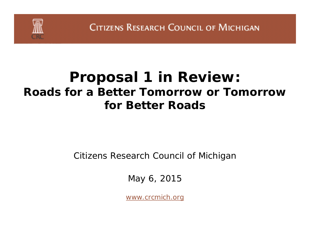

**CITIZENS RESEARCH COUNCIL OF MICHIGAN** 

## **Proposal 1 in Review:** *Roads for a Better Tomorrow* **or** *Tomorrow for Better Roads*

Citizens Research Council of Michigan

May 6, 2015

*www.crcmich.org*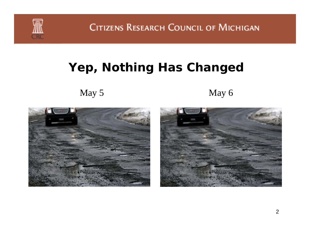

CITIZENS RESEARCH COUNCIL OF MICHIGAN

#### **Yep, Nothing Has Changed**

May 5 May 6



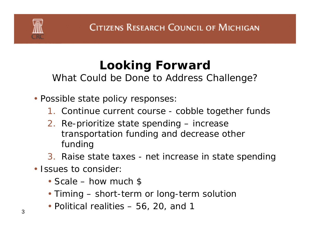# **Looking Forward**

*What Could be Done to Address Challenge?*

- Possible state policy responses
	- 1. Continue current course cobble together funds
	- 2. Re-prioritize state spending *increase* transportation funding and *decrease* other funding
	- 3. Raise state taxes net increase in state spending
- Issues to consider
	- Scale how much \$
	- Timing short-term or long-term solution
- $\bullet$  Political realities 56, 20, and 1  $\bullet$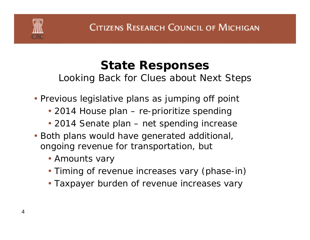#### **State Responses** *Looking Back for Clues about Next Steps*

- Previous legislative plans as jumping off point
	- 2014 House plan re-prioritize spending
	- 2014 Senate plan net spending increase
- Both plans would have generated additional, ongoing revenue for transportation, but
	- Amounts vary
	- Timing of revenue increases vary (phase-in)
	- Taxpayer burden of revenue increases vary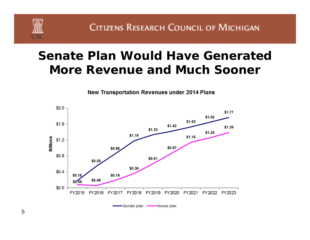

**CITIZENS RESEARCH COUNCIL OF MICHIGAN** 

### **Senate Plan Would Have Generated More Revenue and Much Sooner**



**New Transportation Revenues under 2014 Plans**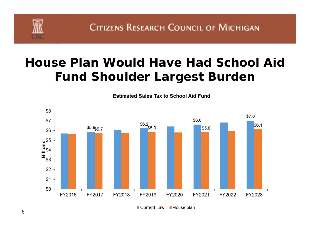## **House Plan Would Have Had School Aid Fund Shoulder Largest Burden**

**Estimated Sales Tax to School Aid Fund** 



■ Current Law ■ House plan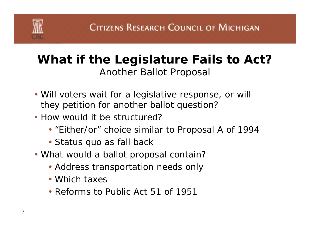

#### **What if the Legislature Fails to Act?** *Another Ballot Proposal*

- Will voters wait for a legislative response, or will they petition for another ballot question?
- How would it be structured?
	- "Either/or" choice similar to Proposal A of 1994
	- Status quo as fall back
- What would a ballot proposal contain?
	- Address transportation needs only
	- Which taxes
	- Reforms to Public Act 51 of 1951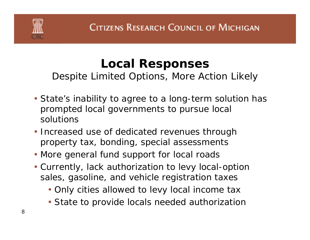## **Local Responses**

*Despite Limited Options, More Action Likely*

- State's inability to agree to a long-term solution has prompted local governments to pursue local solutions
- Increased use of dedicated revenues through property tax, bonding, special assessments
- More general fund support for local roads
- Currently, lack authorization to levy local-option sales, gasoline, and vehicle registration taxes
	- Only cities allowed to levy local income tax
	- State to provide locals needed authorizatior